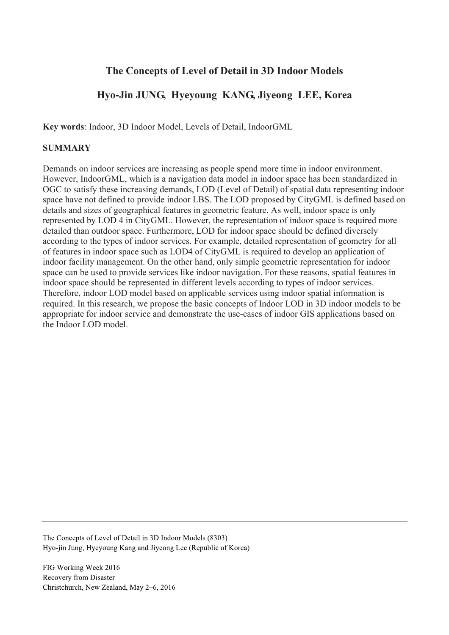## **The Concepts of Level of Detail in 3D Indoor Models**

# **Hyo-Jin JUNG, Hyeyoung KANG, Jiyeong LEE, Korea**

**Key words**: Indoor, 3D Indoor Model, Levels of Detail, IndoorGML

#### **SUMMARY**

Demands on indoor services are increasing as people spend more time in indoor environment. However, IndoorGML, which is a navigation data model in indoor space has been standardized in OGC to satisfy these increasing demands, LOD (Level of Detail) of spatial data representing indoor space have not defined to provide indoor LBS. The LOD proposed by CityGML is defined based on details and sizes of geographical features in geometric feature. As well, indoor space is only represented by LOD 4 in CityGML. However, the representation of indoor space is required more detailed than outdoor space. Furthermore, LOD for indoor space should be defined diversely according to the types of indoor services. For example, detailed representation of geometry for all of features in indoor space such as LOD4 of CityGML is required to develop an application of indoor facility management. On the other hand, only simple geometric representation for indoor space can be used to provide services like indoor navigation. For these reasons, spatial features in indoor space should be represented in different levels according to types of indoor services. Therefore, indoor LOD model based on applicable services using indoor spatial information is required. In this research, we propose the basic concepts of Indoor LOD in 3D indoor models to be appropriate for indoor service and demonstrate the use-cases of indoor GIS applications based on the Indoor LOD model.

The Concepts of Level of Detail in 3D Indoor Models (8303). Hyo-jin Jung, Hyeyoung Kang and Jiyeong Lee (Republic of Korea)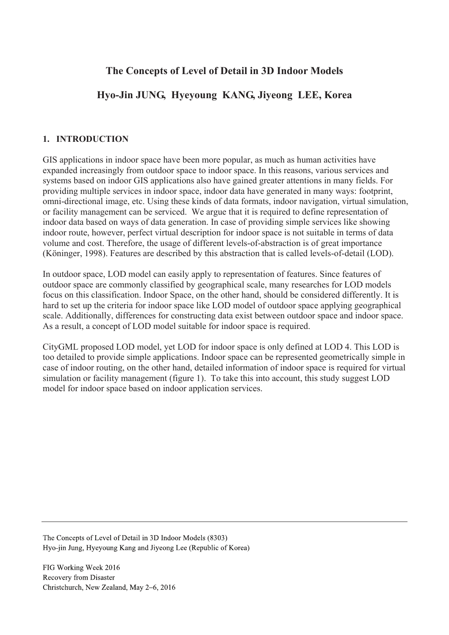## **The Concepts of Level of Detail in 3D Indoor Models**

# **Hyo-Jin JUNG, Hyeyoung KANG, Jiyeong LEE, Korea**

#### **1. INTRODUCTION**

GIS applications in indoor space have been more popular, as much as human activities have expanded increasingly from outdoor space to indoor space. In this reasons, various services and systems based on indoor GIS applications also have gained greater attentions in many fields. For providing multiple services in indoor space, indoor data have generated in many ways: footprint, omni-directional image, etc. Using these kinds of data formats, indoor navigation, virtual simulation, or facility management can be serviced. We argue that it is required to define representation of indoor data based on ways of data generation. In case of providing simple services like showing indoor route, however, perfect virtual description for indoor space is not suitable in terms of data volume and cost. Therefore, the usage of different levels-of-abstraction is of great importance (Köninger, 1998). Features are described by this abstraction that is called levels-of-detail (LOD).

In outdoor space, LOD model can easily apply to representation of features. Since features of outdoor space are commonly classified by geographical scale, many researches for LOD models focus on this classification. Indoor Space, on the other hand, should be considered differently. It is hard to set up the criteria for indoor space like LOD model of outdoor space applying geographical scale. Additionally, differences for constructing data exist between outdoor space and indoor space. As a result, a concept of LOD model suitable for indoor space is required.

CityGML proposed LOD model, yet LOD for indoor space is only defined at LOD 4. This LOD is too detailed to provide simple applications. Indoor space can be represented geometrically simple in case of indoor routing, on the other hand, detailed information of indoor space is required for virtual simulation or facility management (figure 1). To take this into account, this study suggest LOD model for indoor space based on indoor application services.

The Concepts of Level of Detail in 3D Indoor Models (8303). Hyo-jin Jung, Hyeyoung Kang and Jiyeong Lee (Republic of Korea)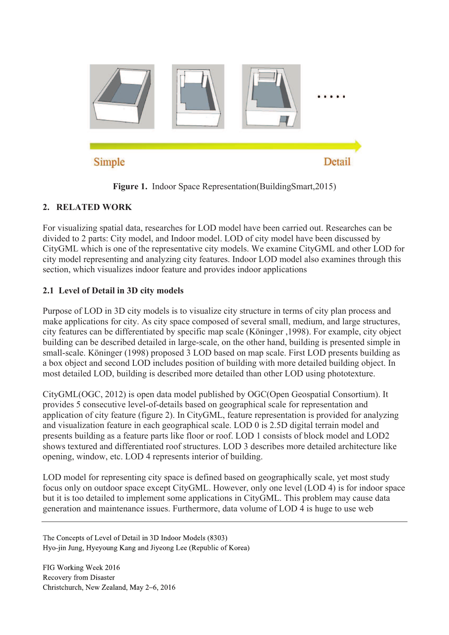

**Figure 1.** Indoor Space Representation(BuildingSmart,2015)

### **2. RELATED WORK**

For visualizing spatial data, researches for LOD model have been carried out. Researches can be divided to 2 parts: City model, and Indoor model. LOD of city model have been discussed by CityGML which is one of the representative city models. We examine CityGML and other LOD for city model representing and analyzing city features. Indoor LOD model also examines through this section, which visualizes indoor feature and provides indoor applications

### **2.1 Level of Detail in 3D city models**

Purpose of LOD in 3D city models is to visualize city structure in terms of city plan process and make applications for city. As city space composed of several small, medium, and large structures, city features can be differentiated by specific map scale (Köninger ,1998). For example, city object building can be described detailed in large-scale, on the other hand, building is presented simple in small-scale. Köninger (1998) proposed 3 LOD based on map scale. First LOD presents building as a box object and second LOD includes position of building with more detailed building object. In most detailed LOD, building is described more detailed than other LOD using phototexture.

CityGML(OGC, 2012) is open data model published by OGC(Open Geospatial Consortium). It provides 5 consecutive level-of-details based on geographical scale for representation and application of city feature (figure 2). In CityGML, feature representation is provided for analyzing and visualization feature in each geographical scale. LOD 0 is 2.5D digital terrain model and presents building as a feature parts like floor or roof. LOD 1 consists of block model and LOD2 shows textured and differentiated roof structures. LOD 3 describes more detailed architecture like opening, window, etc. LOD 4 represents interior of building.

LOD model for representing city space is defined based on geographically scale, yet most study focus only on outdoor space except CityGML. However, only one level (LOD 4) is for indoor space but it is too detailed to implement some applications in CityGML. This problem may cause data generation and maintenance issues. Furthermore, data volume of LOD 4 is huge to use web

The Concepts of Level of Detail in 3D Indoor Models (8303). Hyo-jin Jung, Hyeyoung Kang and Jiyeong Lee (Republic of Korea)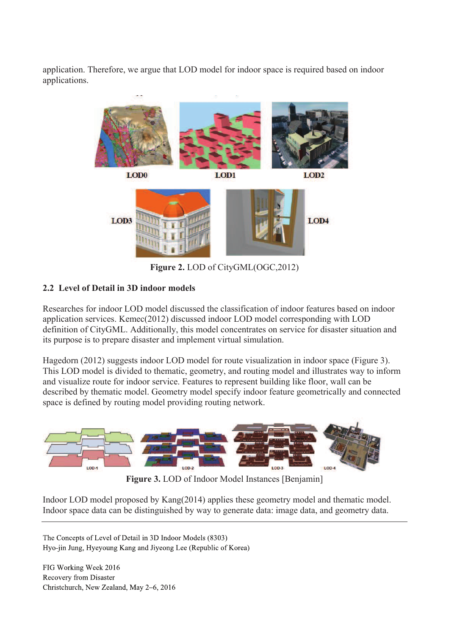application. Therefore, we argue that LOD model for indoor space is required based on indoor applications.



**Figure 2.** LOD of CityGML(OGC,2012)

### **2.2 Level of Detail in 3D indoor models**

Researches for indoor LOD model discussed the classification of indoor features based on indoor application services. Kemec(2012) discussed indoor LOD model corresponding with LOD definition of CityGML. Additionally, this model concentrates on service for disaster situation and its purpose is to prepare disaster and implement virtual simulation.

Hagedorn (2012) suggests indoor LOD model for route visualization in indoor space (Figure 3). This LOD model is divided to thematic, geometry, and routing model and illustrates way to inform and visualize route for indoor service. Features to represent building like floor, wall can be described by thematic model. Geometry model specify indoor feature geometrically and connected space is defined by routing model providing routing network.



**Figure 3.** LOD of Indoor Model Instances [Benjamin]

Indoor LOD model proposed by Kang(2014) applies these geometry model and thematic model. Indoor space data can be distinguished by way to generate data: image data, and geometry data.

The Concepts of Level of Detail in 3D Indoor Models (8303). Hyo-jin Jung, Hyeyoung Kang and Jiyeong Lee (Republic of Korea)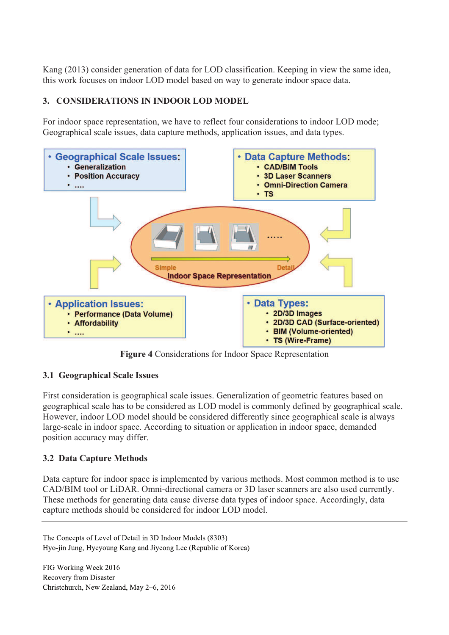Kang (2013) consider generation of data for LOD classification. Keeping in view the same idea, this work focuses on indoor LOD model based on way to generate indoor space data.

#### **3. CONSIDERATIONS IN INDOOR LOD MODEL**

For indoor space representation, we have to reflect four considerations to indoor LOD mode; Geographical scale issues, data capture methods, application issues, and data types.



**Figure 4** Considerations for Indoor Space Representation

#### **3.1 Geographical Scale Issues**

First consideration is geographical scale issues. Generalization of geometric features based on geographical scale has to be considered as LOD model is commonly defined by geographical scale. However, indoor LOD model should be considered differently since geographical scale is always large-scale in indoor space. According to situation or application in indoor space, demanded position accuracy may differ.

#### **3.2 Data Capture Methods**

Data capture for indoor space is implemented by various methods. Most common method is to use CAD/BIM tool or LiDAR. Omni-directional camera or 3D laser scanners are also used currently. These methods for generating data cause diverse data types of indoor space. Accordingly, data capture methods should be considered for indoor LOD model.

The Concepts of Level of Detail in 3D Indoor Models (8303). Hyo-jin Jung, Hyeyoung Kang and Jiyeong Lee (Republic of Korea)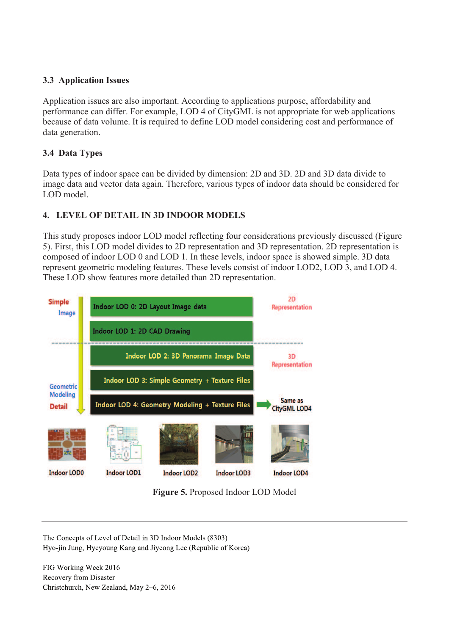### **3.3 Application Issues**

Application issues are also important. According to applications purpose, affordability and performance can differ. For example, LOD 4 of CityGML is not appropriate for web applications because of data volume. It is required to define LOD model considering cost and performance of data generation.

### **3.4 Data Types**

Data types of indoor space can be divided by dimension: 2D and 3D. 2D and 3D data divide to image data and vector data again. Therefore, various types of indoor data should be considered for LOD model.

### **4. LEVEL OF DETAIL IN 3D INDOOR MODELS**

This study proposes indoor LOD model reflecting four considerations previously discussed (Figure 5). First, this LOD model divides to 2D representation and 3D representation. 2D representation is composed of indoor LOD 0 and LOD 1. In these levels, indoor space is showed simple. 3D data represent geometric modeling features. These levels consist of indoor LOD2, LOD 3, and LOD 4. These LOD show features more detailed than 2D representation.



**Figure 5.** Proposed Indoor LOD Model

The Concepts of Level of Detail in 3D Indoor Models (8303). Hyo-jin Jung, Hyeyoung Kang and Jiyeong Lee (Republic of Korea)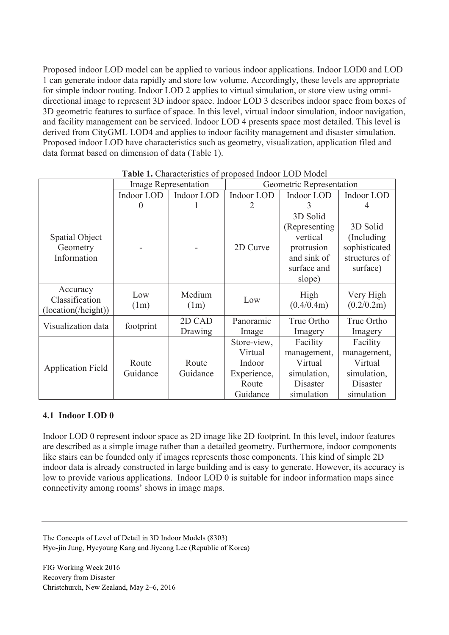Proposed indoor LOD model can be applied to various indoor applications. Indoor LOD0 and LOD 1 can generate indoor data rapidly and store low volume. Accordingly, these levels are appropriate for simple indoor routing. Indoor LOD 2 applies to virtual simulation, or store view using omnidirectional image to represent 3D indoor space. Indoor LOD 3 describes indoor space from boxes of 3D geometric features to surface of space. In this level, virtual indoor simulation, indoor navigation, and facility management can be serviced. Indoor LOD 4 presents space most detailed. This level is derived from CityGML LOD4 and applies to indoor facility management and disaster simulation. Proposed indoor LOD have characteristics such as geometry, visualization, application filed and data format based on dimension of data (Table 1).

|                                                   | <b>Image Representation</b> |                   | Geometric Representation                                             |                                                                                              |                                                                             |
|---------------------------------------------------|-----------------------------|-------------------|----------------------------------------------------------------------|----------------------------------------------------------------------------------------------|-----------------------------------------------------------------------------|
|                                                   | Indoor LOD                  | Indoor LOD        | Indoor LOD                                                           | Indoor LOD                                                                                   | Indoor LOD                                                                  |
|                                                   | $\Omega$                    |                   | 2                                                                    | 3                                                                                            | 4                                                                           |
| Spatial Object<br>Geometry<br>Information         |                             |                   | 2D Curve                                                             | 3D Solid<br>(Representing)<br>vertical<br>protrusion<br>and sink of<br>surface and<br>slope) | 3D Solid<br>(Including)<br>sophisticated<br>structures of<br>surface)       |
| Accuracy<br>Classification<br>(location(/height)) | Low<br>(1m)                 | Medium<br>(1m)    | Low                                                                  | High<br>(0.4/0.4m)                                                                           | Very High<br>(0.2/0.2m)                                                     |
| Visualization data                                | footprint                   | 2D CAD<br>Drawing | Panoramic<br>Image                                                   | True Ortho<br>Imagery                                                                        | True Ortho<br>Imagery                                                       |
| <b>Application Field</b>                          | Route<br>Guidance           | Route<br>Guidance | Store-view,<br>Virtual<br>Indoor<br>Experience,<br>Route<br>Guidance | Facility<br>management,<br>Virtual<br>simulation,<br><b>Disaster</b><br>simulation           | Facility<br>management,<br>Virtual<br>simulation,<br>Disaster<br>simulation |

**Table 1.** Characteristics of proposed Indoor LOD Model

#### **4.1 Indoor LOD 0**

Indoor LOD 0 represent indoor space as 2D image like 2D footprint. In this level, indoor features are described as a simple image rather than a detailed geometry. Furthermore, indoor components like stairs can be founded only if images represents those components. This kind of simple 2D indoor data is already constructed in large building and is easy to generate. However, its accuracy is low to provide various applications. Indoor LOD 0 is suitable for indoor information maps since connectivity among rooms' shows in image maps.

The Concepts of Level of Detail in 3D Indoor Models (8303). Hyo-jin Jung, Hyeyoung Kang and Jiyeong Lee (Republic of Korea)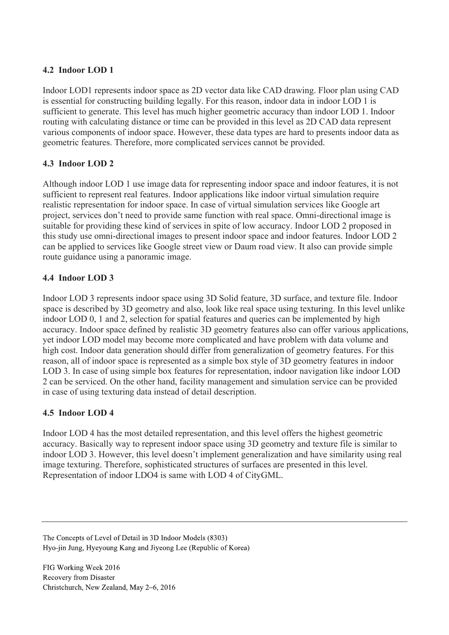#### **4.2 Indoor LOD 1**

Indoor LOD1 represents indoor space as 2D vector data like CAD drawing. Floor plan using CAD is essential for constructing building legally. For this reason, indoor data in indoor LOD 1 is sufficient to generate. This level has much higher geometric accuracy than indoor LOD 1. Indoor routing with calculating distance or time can be provided in this level as 2D CAD data represent various components of indoor space. However, these data types are hard to presents indoor data as geometric features. Therefore, more complicated services cannot be provided.

### **4.3 Indoor LOD 2**

Although indoor LOD 1 use image data for representing indoor space and indoor features, it is not sufficient to represent real features. Indoor applications like indoor virtual simulation require realistic representation for indoor space. In case of virtual simulation services like Google art project, services don't need to provide same function with real space. Omni-directional image is suitable for providing these kind of services in spite of low accuracy. Indoor LOD 2 proposed in this study use omni-directional images to present indoor space and indoor features. Indoor LOD 2 can be applied to services like Google street view or Daum road view. It also can provide simple route guidance using a panoramic image.

#### **4.4 Indoor LOD 3**

Indoor LOD 3 represents indoor space using 3D Solid feature, 3D surface, and texture file. Indoor space is described by 3D geometry and also, look like real space using texturing. In this level unlike indoor LOD 0, 1 and 2, selection for spatial features and queries can be implemented by high accuracy. Indoor space defined by realistic 3D geometry features also can offer various applications, yet indoor LOD model may become more complicated and have problem with data volume and high cost. Indoor data generation should differ from generalization of geometry features. For this reason, all of indoor space is represented as a simple box style of 3D geometry features in indoor LOD 3. In case of using simple box features for representation, indoor navigation like indoor LOD 2 can be serviced. On the other hand, facility management and simulation service can be provided in case of using texturing data instead of detail description.

#### **4.5 Indoor LOD 4**

Indoor LOD 4 has the most detailed representation, and this level offers the highest geometric accuracy. Basically way to represent indoor space using 3D geometry and texture file is similar to indoor LOD 3. However, this level doesn't implement generalization and have similarity using real image texturing. Therefore, sophisticated structures of surfaces are presented in this level. Representation of indoor LDO4 is same with LOD 4 of CityGML.

The Concepts of Level of Detail in 3D Indoor Models (8303). Hyo-jin Jung, Hyeyoung Kang and Jiyeong Lee (Republic of Korea)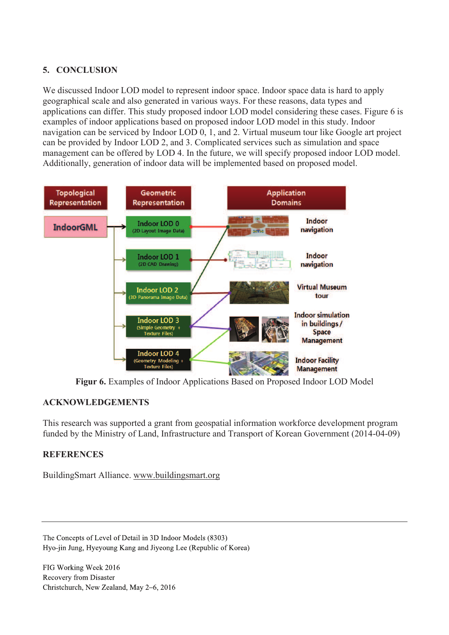### **5. CONCLUSION**

We discussed Indoor LOD model to represent indoor space. Indoor space data is hard to apply geographical scale and also generated in various ways. For these reasons, data types and applications can differ. This study proposed indoor LOD model considering these cases. Figure 6 is examples of indoor applications based on proposed indoor LOD model in this study. Indoor navigation can be serviced by Indoor LOD 0, 1, and 2. Virtual museum tour like Google art project can be provided by Indoor LOD 2, and 3. Complicated services such as simulation and space management can be offered by LOD 4. In the future, we will specify proposed indoor LOD model. Additionally, generation of indoor data will be implemented based on proposed model.



**Figur 6.** Examples of Indoor Applications Based on Proposed Indoor LOD Model

### **ACKNOWLEDGEMENTS**

This research was supported a grant from geospatial information workforce development program funded by the Ministry of Land, Infrastructure and Transport of Korean Government (2014-04-09)

### **REFERENCES**

BuildingSmart Alliance. www.buildingsmart.org

The Concepts of Level of Detail in 3D Indoor Models (8303). Hyo-jin Jung, Hyeyoung Kang and Jiyeong Lee (Republic of Korea)